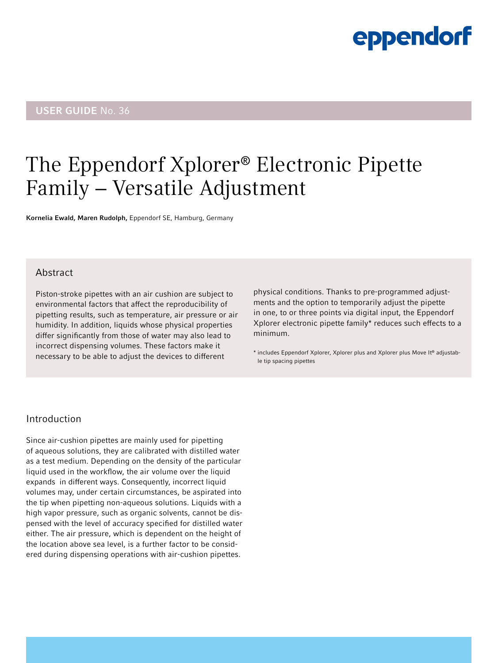# eppendorf

# USER GUIDE No. 36

# The Eppendorf Xplorer® Electronic Pipette Family − Versatile Adjustment

Kornelia Ewald, Maren Rudolph, Eppendorf SE, Hamburg, Germany

# Abstract

Piston-stroke pipettes with an air cushion are subject to environmental factors that affect the reproducibility of pipetting results, such as temperature, air pressure or air humidity. In addition, liquids whose physical properties differ significantly from those of water may also lead to incorrect dispensing volumes. These factors make it necessary to be able to adjust the devices to different

physical conditions. Thanks to pre-programmed adjustments and the option to temporarily adjust the pipette in one, to or three points via digital input, the Eppendorf Xplorer electronic pipette family\* reduces such effects to a minimum.

\* includes Eppendorf Xplorer, Xplorer plus and Xplorer plus Move It® adjustable tip spacing pipettes

# Introduction

Since air-cushion pipettes are mainly used for pipetting of aqueous solutions, they are calibrated with distilled water as a test medium. Depending on the density of the particular liquid used in the workflow, the air volume over the liquid expands in different ways. Consequently, incorrect liquid volumes may, under certain circumstances, be aspirated into the tip when pipetting non-aqueous solutions. Liquids with a high vapor pressure, such as organic solvents, cannot be dispensed with the level of accuracy specified for distilled water either. The air pressure, which is dependent on the height of the location above sea level, is a further factor to be considered during dispensing operations with air-cushion pipettes.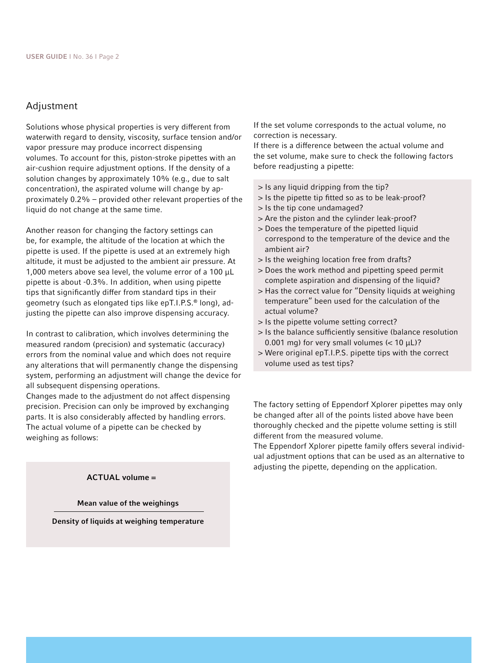### Adjustment

Solutions whose physical properties is very different from waterwith regard to density, viscosity, surface tension and/or vapor pressure may produce incorrect dispensing volumes. To account for this, piston-stroke pipettes with an air-cushion require adjustment options. If the density of a solution changes by approximately 10% (e.g., due to salt concentration), the aspirated volume will change by approximately 0.2% – provided other relevant properties of the liquid do not change at the same time.

Another reason for changing the factory settings can be, for example, the altitude of the location at which the pipette is used. If the pipette is used at an extremely high altitude, it must be adjusted to the ambient air pressure. At 1,000 meters above sea level, the volume error of a 100 μL pipette is about -0.3%. In addition, when using pipette tips that significantly differ from standard tips in their geometry (such as elongated tips like epT.I.P.S.® long), adjusting the pipette can also improve dispensing accuracy.

In contrast to calibration, which involves determining the measured random (precision) and systematic (accuracy) errors from the nominal value and which does not require any alterations that will permanently change the dispensing system, performing an adjustment will change the device for all subsequent dispensing operations.

Changes made to the adjustment do not affect dispensing precision. Precision can only be improved by exchanging parts. It is also considerably affected by handling errors. The actual volume of a pipette can be checked by weighing as follows:

#### ACTUAL volume =

#### Mean value of the weighings

Density of liquids at weighing temperature

If the set volume corresponds to the actual volume, no correction is necessary.

If there is a difference between the actual volume and the set volume, make sure to check the following factors before readjusting a pipette:

- > Is any liquid dripping from the tip?
- > Is the pipette tip fitted so as to be leak-proof?
- > Is the tip cone undamaged?
- > Are the piston and the cylinder leak-proof?
- > Does the temperature of the pipetted liquid correspond to the temperature of the device and the ambient air?
- > Is the weighing location free from drafts?
- > Does the work method and pipetting speed permit complete aspiration and dispensing of the liquid?
- > Has the correct value for "Density liquids at weighing temperature" been used for the calculation of the actual volume?
- > Is the pipette volume setting correct?
- > Is the balance sufficiently sensitive (balance resolution 0.001 mg) for very small volumes ( $<$  10  $\mu$ L)?
- > Were original epT.I.P.S. pipette tips with the correct volume used as test tips?

The factory setting of Eppendorf Xplorer pipettes may only be changed after all of the points listed above have been thoroughly checked and the pipette volume setting is still different from the measured volume.

The Eppendorf Xplorer pipette family offers several individual adjustment options that can be used as an alternative to adjusting the pipette, depending on the application.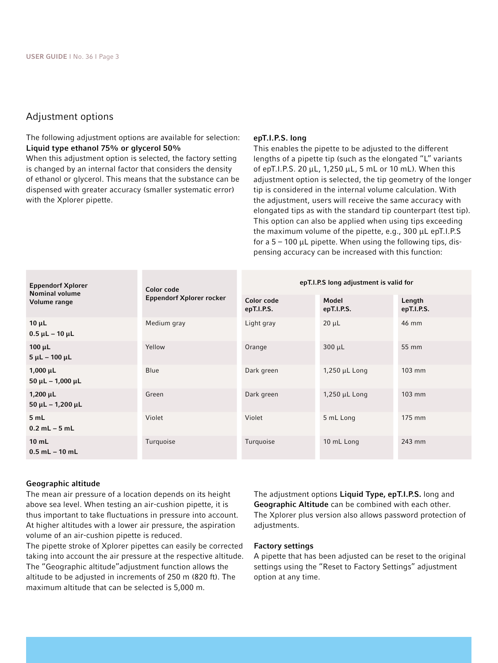# Adjustment options

The following adjustment options are available for selection: Liquid type ethanol 75% or glycerol 50%

When this adjustment option is selected, the factory setting is changed by an internal factor that considers the density of ethanol or glycerol. This means that the substance can be dispensed with greater accuracy (smaller systematic error) with the Xplorer pipette.

#### epT.I.P.S. long

This enables the pipette to be adjusted to the different lengths of a pipette tip (such as the elongated "L" variants of epT.I.P.S. 20 μL, 1,250 μL, 5 mL or 10 mL). When this adjustment option is selected, the tip geometry of the longer tip is considered in the internal volume calculation. With the adjustment, users will receive the same accuracy with elongated tips as with the standard tip counterpart (test tip). This option can also be applied when using tips exceeding the maximum volume of the pipette, e.g., 300 µL epT.I.P.S for a  $5 - 100$  µL pipette. When using the following tips, dispensing accuracy can be increased with this function:

| <b>Eppendorf Xplorer</b><br><b>Nominal volume</b><br>Volume range | Color code<br><b>Eppendorf Xplorer rocker</b> | epT.I.P.S long adjustment is valid for |                     |                      |
|-------------------------------------------------------------------|-----------------------------------------------|----------------------------------------|---------------------|----------------------|
|                                                                   |                                               | Color code<br>epT.I.P.S.               | Model<br>epT.I.P.S. | Length<br>epT.I.P.S. |
| $10 \mu L$<br>$0.5$ $\mu$ L - 10 $\mu$ L                          | Medium gray                                   | Light gray                             | $20 \mu L$          | 46 mm                |
| $100 \mu L$<br>$5 \mu L - 100 \mu L$                              | Yellow                                        | Orange                                 | $300 \mu L$         | 55 mm                |
| $1,000 \mu L$<br>$50 \mu L - 1,000 \mu L$                         | Blue                                          | Dark green                             | $1,250$ µL Long     | $103$ mm             |
| $1,200 \mu L$<br>$50 \mu L - 1,200 \mu L$                         | Green                                         | Dark green                             | 1,250 µL Long       | $103$ mm             |
| 5 mL<br>$0.2$ mL $-5$ mL                                          | Violet                                        | Violet                                 | 5 mL Long           | 175 mm               |
| $10$ mL<br>$0.5$ mL $-$ 10 mL                                     | Turquoise                                     | Turquoise                              | 10 mL Long          | 243 mm               |

#### Geographic altitude

The mean air pressure of a location depends on its height above sea level. When testing an air-cushion pipette, it is thus important to take fluctuations in pressure into account. At higher altitudes with a lower air pressure, the aspiration volume of an air-cushion pipette is reduced.

The pipette stroke of Xplorer pipettes can easily be corrected taking into account the air pressure at the respective altitude. The "Geographic altitude"adjustment function allows the altitude to be adjusted in increments of 250 m (820 ft). The maximum altitude that can be selected is 5,000 m.

The adjustment options Liquid Type, epT.I.P.S. long and Geographic Altitude can be combined with each other. The Xplorer plus version also allows password protection of adjustments.

#### Factory settings

A pipette that has been adjusted can be reset to the original settings using the "Reset to Factory Settings" adjustment option at any time.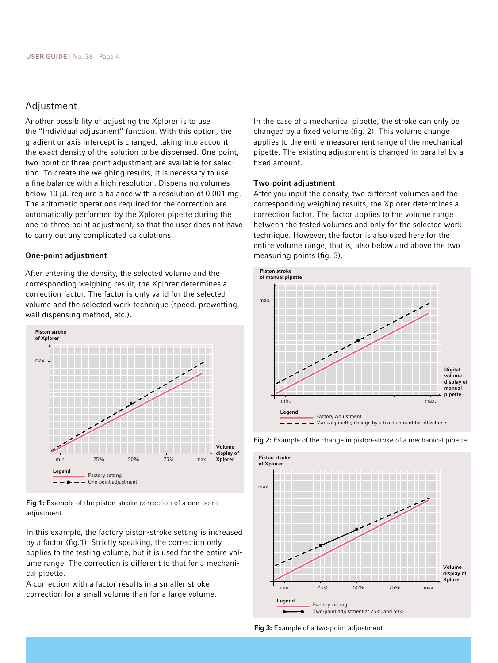## Adjustment

Another possibility of adjusting the Xplorer is to use the "Individual adjustment" function. With this option, the gradient or axis intercept is changed, taking into account the exact density of the solution to be dispensed. One-point, two-point or three-point adjustment are available for selection. To create the weighing results, it is necessary to use a fine balance with a high resolution. Dispensing volumes below 10 μL require a balance with a resolution of 0.001 mg. The arithmetic operations required for the correction are automatically performed by the Xplorer pipette during the one-to-three-point adjustment, so that the user does not have to carry out any complicated calculations.

#### One-point adjustment

After entering the density, the selected volume and the corresponding weighing result, the Xplorer determines a correction factor. The factor is only valid for the selected volume and the selected work technique (speed, prewetting, wall dispensing method, etc.).



Fig 1: Example of the piston-stroke correction of a one-point adjustment

In this example, the factory piston-stroke setting is increased by a factor (fig.1). Strictly speaking, the correction only applies to the testing volume, but it is used for the entire volume range. The correction is different to that for a mechanical pipette.

A correction with a factor results in a smaller stroke correction for a small volume than for a large volume.

In the case of a mechanical pipette, the stroke can only be changed by a fixed volume (fig. 2). This volume change applies to the entire measurement range of the mechanical pipette. The existing adjustment is changed in parallel by a fixed amount.

#### Two-point adjustment

After you input the density, two different volumes and the corresponding weighing results, the Xplorer determines a correction factor. The factor applies to the volume range between the tested volumes and only for the selected work technique. However, the factor is also used here for the entire volume range, that is, also below and above the two measuring points (fig. 3).





Fig 2: Example of the change in piston-stroke of a mechanical pipette

Fig 3: Example of a two-point adjustment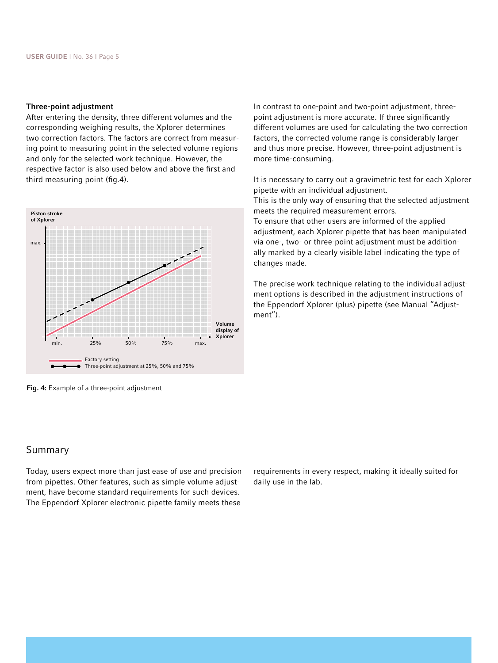#### Three-point adjustment

After entering the density, three different volumes and the corresponding weighing results, the Xplorer determines two correction factors. The factors are correct from measuring point to measuring point in the selected volume regions and only for the selected work technique. However, the respective factor is also used below and above the first and third measuring point (fig.4).



Fig. 4: Example of a three-point adjustment

In contrast to one-point and two-point adjustment, threepoint adjustment is more accurate. If three significantly different volumes are used for calculating the two correction factors, the corrected volume range is considerably larger and thus more precise. However, three-point adjustment is more time-consuming.

It is necessary to carry out a gravimetric test for each Xplorer pipette with an individual adjustment.

This is the only way of ensuring that the selected adjustment meets the required measurement errors.

To ensure that other users are informed of the applied adjustment, each Xplorer pipette that has been manipulated via one-, two- or three-point adjustment must be additionally marked by a clearly visible label indicating the type of changes made.

The precise work technique relating to the individual adjustment options is described in the adjustment instructions of the Eppendorf Xplorer (plus) pipette (see Manual "Adjustment").

# Summary

Today, users expect more than just ease of use and precision from pipettes. Other features, such as simple volume adjustment, have become standard requirements for such devices. The Eppendorf Xplorer electronic pipette family meets these requirements in every respect, making it ideally suited for daily use in the lab.